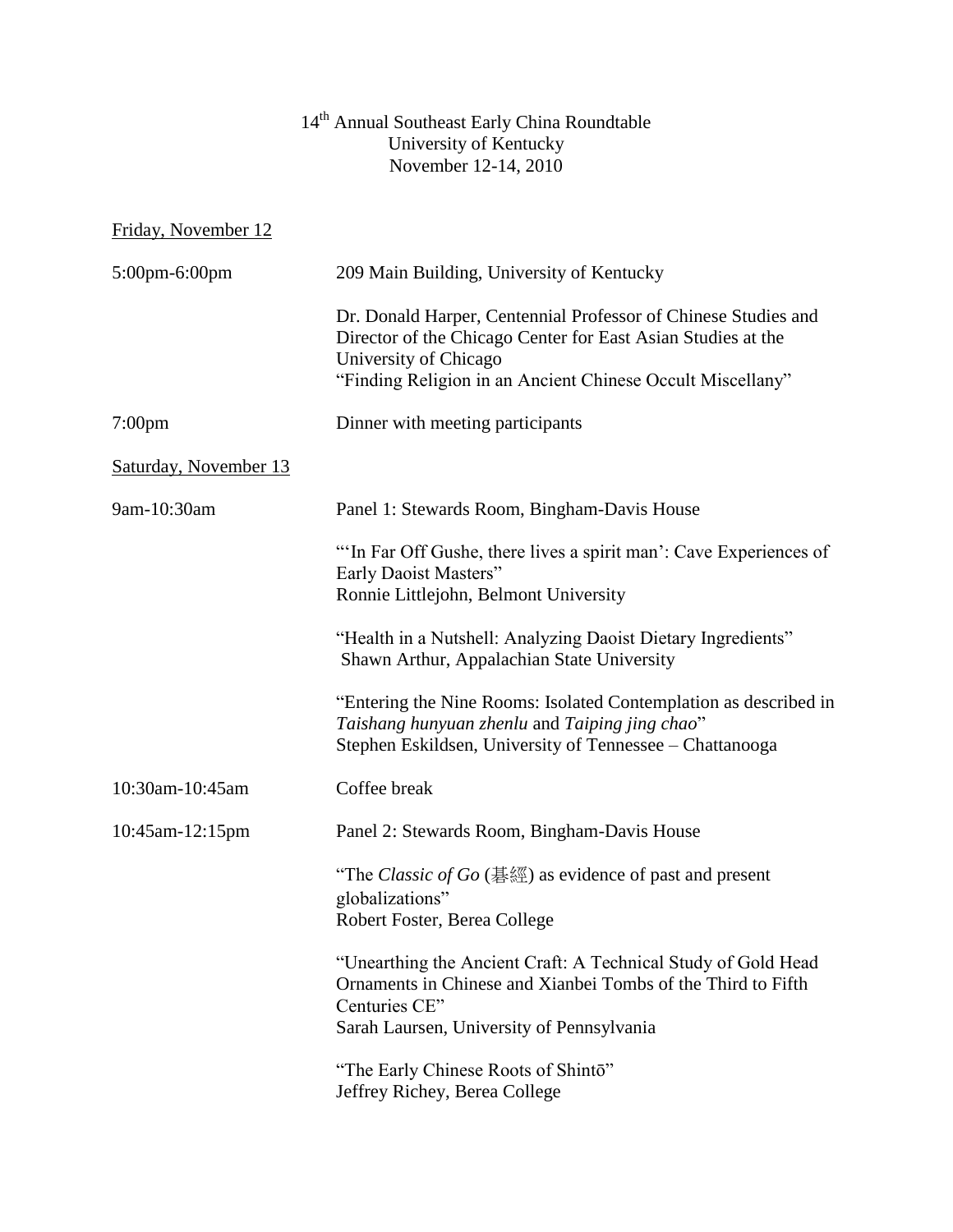## 14<sup>th</sup> Annual Southeast Early China Roundtable University of Kentucky November 12-14, 2010

Friday, November 12

| 5:00pm-6:00pm         | 209 Main Building, University of Kentucky                                                                                                                                                   |
|-----------------------|---------------------------------------------------------------------------------------------------------------------------------------------------------------------------------------------|
|                       | Dr. Donald Harper, Centennial Professor of Chinese Studies and<br>Director of the Chicago Center for East Asian Studies at the<br>University of Chicago                                     |
|                       | "Finding Religion in an Ancient Chinese Occult Miscellany"                                                                                                                                  |
| 7:00 <sub>pm</sub>    | Dinner with meeting participants                                                                                                                                                            |
| Saturday, November 13 |                                                                                                                                                                                             |
| 9am-10:30am           | Panel 1: Stewards Room, Bingham-Davis House                                                                                                                                                 |
|                       | "In Far Off Gushe, there lives a spirit man': Cave Experiences of<br>Early Daoist Masters"<br>Ronnie Littlejohn, Belmont University                                                         |
|                       | "Health in a Nutshell: Analyzing Daoist Dietary Ingredients"<br>Shawn Arthur, Appalachian State University                                                                                  |
|                       | "Entering the Nine Rooms: Isolated Contemplation as described in<br>Taishang hunyuan zhenlu and Taiping jing chao"<br>Stephen Eskildsen, University of Tennessee - Chattanooga              |
| 10:30am-10:45am       | Coffee break                                                                                                                                                                                |
| 10:45am-12:15pm       | Panel 2: Stewards Room, Bingham-Davis House                                                                                                                                                 |
|                       | "The <i>Classic of Go</i> ( $\frac{11}{6}$ $\frac{11}{6}$ ) as evidence of past and present<br>globalizations"<br>Robert Foster, Berea College                                              |
|                       | "Unearthing the Ancient Craft: A Technical Study of Gold Head<br>Ornaments in Chinese and Xianbei Tombs of the Third to Fifth<br>Centuries CE"<br>Sarah Laursen, University of Pennsylvania |
|                       | "The Early Chinese Roots of Shintō"<br>Jeffrey Richey, Berea College                                                                                                                        |